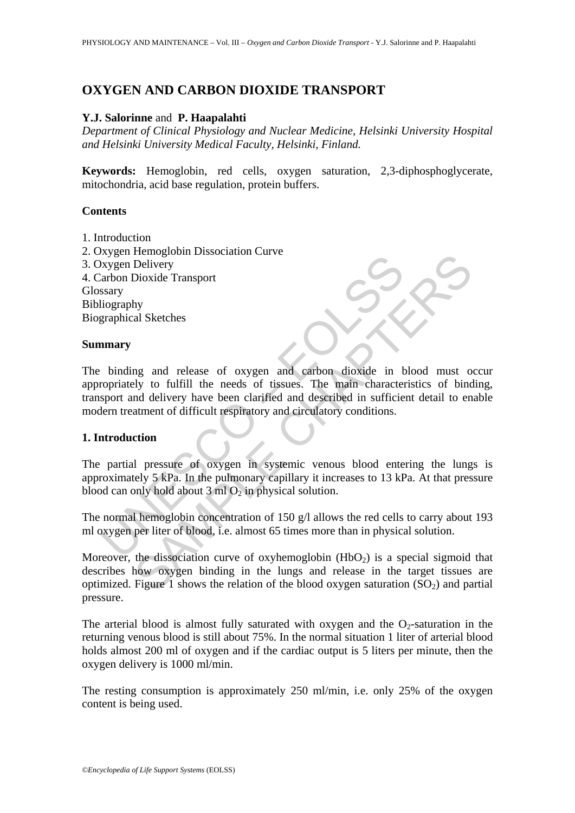# **OXYGEN AND CARBON DIOXIDE TRANSPORT**

### **Y.J. Salorinne** and **P. Haapalahti**

*Department of Clinical Physiology and Nuclear Medicine, Helsinki University Hospital and Helsinki University Medical Faculty, Helsinki, Finland.* 

**Keywords:** Hemoglobin, red cells, oxygen saturation, 2,3-diphosphoglycerate, mitochondria, acid base regulation, protein buffers.

#### **Contents**

1. Introduction 2. Oxygen Hemoglobin Dissociation Curve 3. Oxygen Delivery 4. Carbon Dioxide Transport **Glossary** Bibliography Biographical Sketches

#### **Summary**

Experimentation Disordation Carve and carbon dioxide in the<br>disorder papelite of a compare of a comparison of the main character<br>sport and delivery have been clarified and described in sufficie<br>term treatment of difficult The<br>magnom Dissociation Carve<br>Dievery<br>Dioxide Transport<br>hy<br>al Sketches<br>and releves of the media of this<br>sets. The main characteristics of bind<br>delivery have been clarified and described in sufficient detail to en<br>atment of The binding and release of oxygen and carbon dioxide in blood must occur appropriately to fulfill the needs of tissues. The main characteristics of binding, transport and delivery have been clarified and described in sufficient detail to enable modern treatment of difficult respiratory and circulatory conditions.

### **1. Introduction**

The partial pressure of oxygen in systemic venous blood entering the lungs is approximately 5 kPa. In the pulmonary capillary it increases to 13 kPa. At that pressure blood can only hold about  $3 \text{ ml } O_2$  in physical solution.

The normal hemoglobin concentration of 150 g/l allows the red cells to carry about 193 ml oxygen per liter of blood, i.e. almost 65 times more than in physical solution.

Moreover, the dissociation curve of oxyhemoglobin  $(HbO<sub>2</sub>)$  is a special sigmoid that describes how oxygen binding in the lungs and release in the target tissues are optimized. Figure 1 shows the relation of the blood oxygen saturation  $(SO_2)$  and partial pressure.

The arterial blood is almost fully saturated with oxygen and the  $O<sub>2</sub>$ -saturation in the returning venous blood is still about 75%. In the normal situation 1 liter of arterial blood holds almost 200 ml of oxygen and if the cardiac output is 5 liters per minute, then the oxygen delivery is 1000 ml/min.

The resting consumption is approximately 250 ml/min, i.e. only 25% of the oxygen content is being used.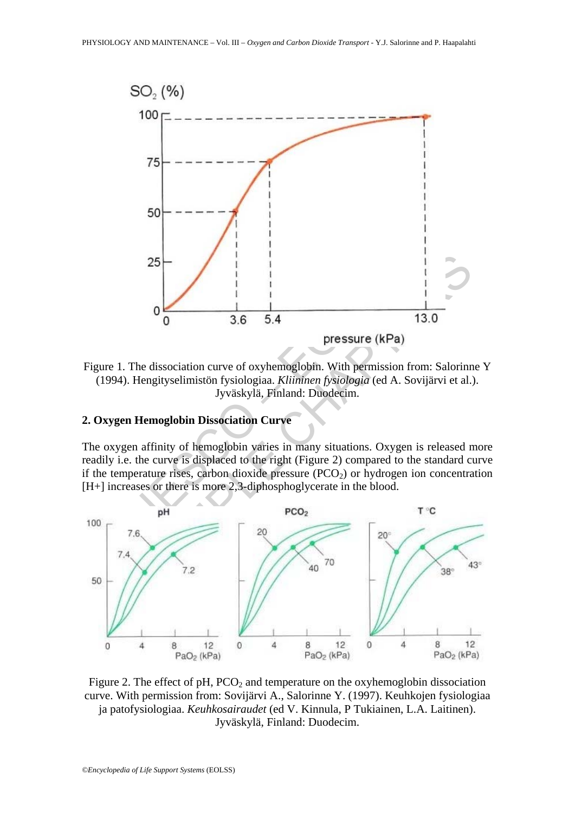

Figure 1. The dissociation curve of oxyhemoglobin. With permission from: Salorinne Y (1994). Hengityselimistön fysiologiaa. *Kliininen fysiologia* (ed A. Sovijärvi et al.). Jyväskylä, Finland: Duodecim.

## **2. Oxygen Hemoglobin Dissociation Curve**

The oxygen affinity of hemoglobin varies in many situations. Oxygen is released more readily i.e. the curve is displaced to the right (Figure 2) compared to the standard curve if the temperature rises, carbon dioxide pressure  $(PCO<sub>2</sub>)$  or hydrogen ion concentration [H+] increases or there is more 2,3-diphosphoglycerate in the blood.



Figure 2. The effect of pH,  $PCO<sub>2</sub>$  and temperature on the oxyhemoglobin dissociation curve. With permission from: Sovijärvi A., Salorinne Y. (1997). Keuhkojen fysiologiaa ja patofysiologiaa. *Keuhkosairaudet* (ed V. Kinnula, P Tukiainen, L.A. Laitinen). Jyväskylä, Finland: Duodecim.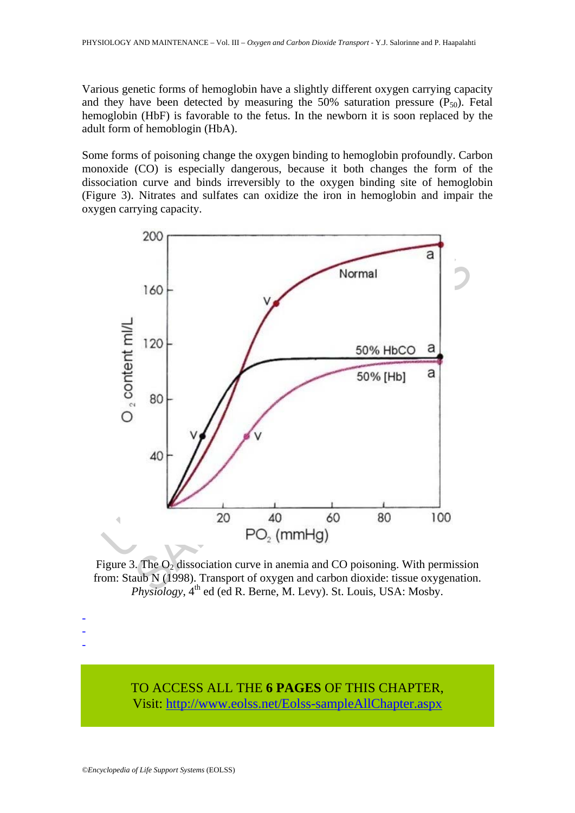Various genetic forms of hemoglobin have a slightly different oxygen carrying capacity and they have been detected by measuring the 50% saturation pressure  $(P_{50})$ . Fetal hemoglobin (HbF) is favorable to the fetus. In the newborn it is soon replaced by the adult form of hemoblogin (HbA).

Some forms of poisoning change the oxygen binding to hemoglobin profoundly. Carbon monoxide (CO) is especially dangerous, because it both changes the form of the dissociation curve and binds irreversibly to the oxygen binding site of hemoglobin (Figure 3). Nitrates and sulfates can oxidize the iron in hemoglobin and impair the oxygen carrying capacity.



Figure 3. The  $O<sub>2</sub>$  dissociation curve in anemia and CO poisoning. With permission from: Staub N (1998). Transport of oxygen and carbon dioxide: tissue oxygenation.  $Physiology, 4<sup>th</sup>$  ed (ed R. Berne, M. Levy). St. Louis, USA: Mosby.

TO ACCESS ALL THE **6 PAGES** OF THIS CHAPTER, Visi[t: http://www.eolss.net/Eolss-sampleAllChapter.aspx](https://www.eolss.net/ebooklib/sc_cart.aspx?File=E6-54-06-03)

- - -